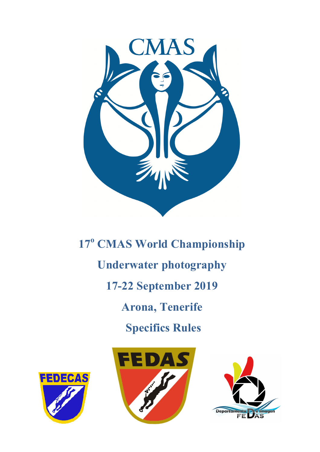

**17<sup>o</sup> CMAS World Championship Underwater photography 17-22 September 2019 Arona, Tenerife Specifics Rules**





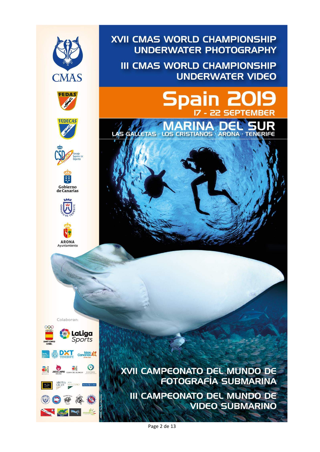

XVII CAMPEONATO DEL MUNDO DE **FOTOGRAFÍA SUBMARINA III CAMPEONATO DEL MUNDO DE VIDEO SUBMARINO** 

**UNDERWATER PHOTOGRAPHY** 

**UNDERWATER VIDEO** 

**SEPTEMB** 

**III CMAS WORLD CHAMPIONSHIP** 

 $\overline{z}$ 

Spain

Page 2 de 13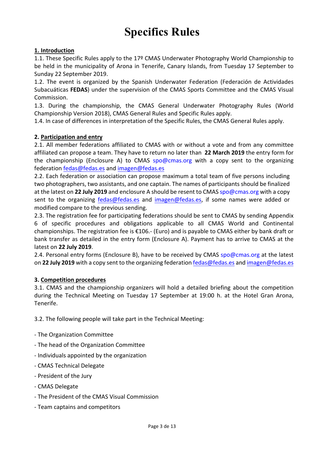# **Specifics Rules**

# **1. Introduction**

1.1. These Specific Rules apply to the 17<sup>o</sup> CMAS Underwater Photography World Championship to be held in the municipality of Arona in Tenerife, Canary Islands, from Tuesday 17 September to Sunday 22 September 2019.

1.2. The event is organized by the Spanish Underwater Federation (Federación de Actividades Subacuáticas FEDAS) under the supervision of the CMAS Sports Committee and the CMAS Visual Commission. 

1.3. During the championship, the CMAS General Underwater Photography Rules (World Championship Version 2018), CMAS General Rules and Specific Rules apply.

1.4. In case of differences in interpretation of the Specific Rules, the CMAS General Rules apply.

## **2. Participation and entry**

2.1. All member federations affiliated to CMAS with or without a vote and from any committee affiliated can propose a team. They have to return no later than 22 March 2019 the entry form for the championship (Enclosure A) to CMAS spo@cmas.org with a copy sent to the organizing federation fedas@fedas.es and imagen@fedas.es

2.2. Each federation or association can propose maximum a total team of five persons including two photographers, two assistants, and one captain. The names of participants should be finalized at the latest on 22 July 2019 and enclosure A should be resent to CMAS spo@cmas.org with a copy sent to the organizing fedas@fedas.es and imagen@fedas.es, if some names were added or modified compare to the previous sending.

2.3. The registration fee for participating federations should be sent to CMAS by sending Appendix 6 of specific procedures and obligations applicable to all CMAS World and Continental championships. The registration fee is  $£106.-$  (Euro) and is payable to CMAS either by bank draft or bank transfer as detailed in the entry form (Enclosure A). Payment has to arrive to CMAS at the latest on **22 July 2019**. 

2.4. Personal entry forms (Enclosure B), have to be received by CMAS spo@cmas.org at the latest on 22 July 2019 with a copy sent to the organizing federation fedas@fedas.es and imagen@fedas.es

#### **3. Competition procedures**

3.1. CMAS and the championship organizers will hold a detailed briefing about the competition during the Technical Meeting on Tuesday 17 September at 19:00 h. at the Hotel Gran Arona, Tenerife. 

3.2. The following people will take part in the Technical Meeting:

- The Organization Committee
- The head of the Organization Committee
- Individuals appointed by the organization
- CMAS Technical Delegate
- President of the Jury
- CMAS Delegate
- The President of the CMAS Visual Commission
- Team captains and competitors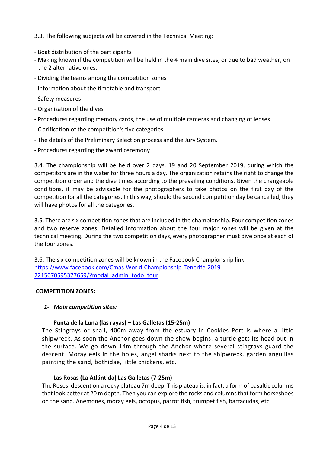3.3. The following subjects will be covered in the Technical Meeting:

- Boat distribution of the participants
- Making known if the competition will be held in the 4 main dive sites, or due to bad weather, on the 2 alternative ones.
- Dividing the teams among the competition zones
- Information about the timetable and transport
- Safety measures
- Organization of the dives
- Procedures regarding memory cards, the use of multiple cameras and changing of lenses
- Clarification of the competition's five categories
- The details of the Preliminary Selection process and the Jury System.
- Procedures regarding the award ceremony

3.4. The championship will be held over 2 days, 19 and 20 September 2019, during which the competitors are in the water for three hours a day. The organization retains the right to change the competition order and the dive times according to the prevailing conditions. Given the changeable conditions, it may be advisable for the photographers to take photos on the first day of the competition for all the categories. In this way, should the second competition day be cancelled, they will have photos for all the categories.

3.5. There are six competition zones that are included in the championship. Four competition zones and two reserve zones. Detailed information about the four major zones will be given at the technical meeting. During the two competition days, every photographer must dive once at each of the four zones.

3.6. The six competition zones will be known in the Facebook Championship link https://www.facebook.com/Cmas-World-Championship-Tenerife-2019- 2215070595377659/?modal=admin\_todo\_tour

## **COMPETITION ZONES:**

## *1- Main competition sites:*

# Punta de la Luna (las rayas) - Las Galletas (15-25m)

The Stingrays or snail, 400m away from the estuary in Cookies Port is where a little shipwreck. As soon the Anchor goes down the show begins: a turtle gets its head out in the surface. We go down 14m through the Anchor where several stingrays guard the descent. Moray eels in the holes, angel sharks next to the shipwreck, garden anguillas painting the sand, bothidae, little chickens, etc.

## Las Rosas (La Atlántida) Las Galletas (7-25m)

The Roses, descent on a rocky plateau 7m deep. This plateau is, in fact, a form of basaltic columns that look better at 20 m depth. Then you can explore the rocks and columns that form horseshoes on the sand. Anemones, moray eels, octopus, parrot fish, trumpet fish, barracudas, etc.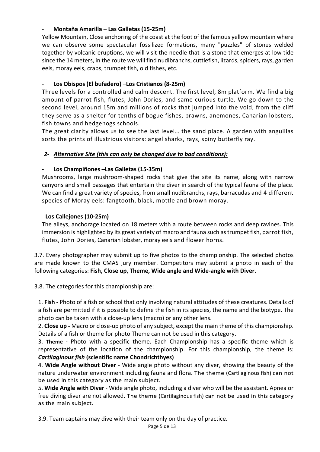# - **Montaña Amarilla – Las Galletas (15-25m)**

Yellow Mountain, Close anchoring of the coast at the foot of the famous yellow mountain where we can observe some spectacular fossilized formations, many "puzzles" of stones welded together by volcanic eruptions, we will visit the needle that is a stone that emerges at low tide since the 14 meters, in the route we will find nudibranchs, cuttlefish, lizards, spiders, rays, garden eels, moray eels, crabs, trumpet fish, old fishes, etc.

# Los Obispos (El bufadero) -Los Cristianos (8-25m)

Three levels for a controlled and calm descent. The first level, 8m platform. We find a big amount of parrot fish, flutes, John Dories, and same curious turtle. We go down to the second level, around 15m and millions of rocks that jumped into the void, from the cliff they serve as a shelter for tenths of bogue fishes, prawns, anemones, Canarian lobsters, fish towns and hedgehogs schools.

The great clarity allows us to see the last level... the sand place. A garden with anguillas sorts the prints of illustrious visitors: angel sharks, rays, spiny butterfly ray.

# 2- Alternative Site (this can only be changed due to bad conditions):

## Los Champiñones -Las Galletas (15-35m)

Mushrooms, large mushroom-shaped rocks that give the site its name, along with narrow canyons and small passages that entertain the diver in search of the typical fauna of the place. We can find a great variety of species, from small nudibranchs, rays, barracudas and 4 different species of Moray eels: fangtooth, black, mottle and brown moray.

## - **Los Callejones (10-25m)**

The alleys, anchorage located on 18 meters with a route between rocks and deep ravines. This immersion is highlighted by its great variety of macro and fauna such as trumpet fish, parrot fish, flutes, John Dories, Canarian lobster, moray eels and flower horns.

3.7. Every photographer may submit up to five photos to the championship. The selected photos are made known to the CMAS jury member. Competitors may submit a photo in each of the following categories: Fish, Close up, Theme, Wide angle and Wide-angle with Diver.

3.8. The categories for this championship are:

1. Fish - Photo of a fish or school that only involving natural attitudes of these creatures. Details of a fish are permitted if it is possible to define the fish in its species, the name and the biotype. The photo can be taken with a close-up lens (macro) or any other lens.

2. **Close up** - Macro or close-up photo of any subject, except the main theme of this championship. Details of a fish or theme for photo Theme can not be used in this category.

3. **Theme** - Photo with a specific theme. Each Championship has a specific theme which is representative of the location of the championship. For this championship, the theme is: *Cartilaginous fish (scientific name Chondrichthyes)* 

4. **Wide Angle without Diver** - Wide angle photo without any diver, showing the beauty of the nature underwater environment including fauna and flora. The theme (Cartilaginous fish) can not be used in this category as the main subject.

5. **Wide Angle with Diver** - Wide angle photo, including a diver who will be the assistant. Apnea or free diving diver are not allowed. The theme (Cartilaginous fish) can not be used in this category as the main subject.

3.9. Team captains may dive with their team only on the day of practice.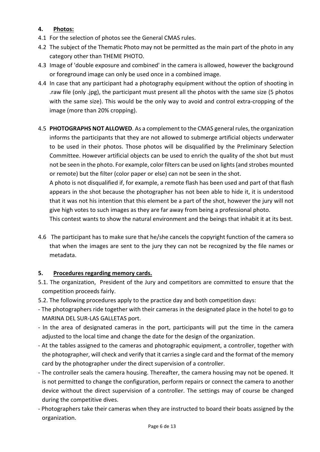# **4. Photos:**

- 4.1 For the selection of photos see the General CMAS rules.
- 4.2 The subject of the Thematic Photo may not be permitted as the main part of the photo in any category other than THEME PHOTO.
- 4.3 Image of 'double exposure and combined' in the camera is allowed, however the background or foreground image can only be used once in a combined image.
- 4.4 In case that any participant had a photography equipment without the option of shooting in raw file (only .jpg), the participant must present all the photos with the same size (5 photos with the same size). This would be the only way to avoid and control extra-cropping of the image (more than 20% cropping).
- 4.5 **PHOTOGRAPHS NOT ALLOWED**. As a complement to the CMAS general rules, the organization informs the participants that they are not allowed to submerge artificial objects underwater to be used in their photos. Those photos will be disqualified by the Preliminary Selection Committee. However artificial objects can be used to enrich the quality of the shot but must not be seen in the photo. For example, color filters can be used on lights (and strobes mounted or remote) but the filter (color paper or else) can not be seen in the shot.

A photo is not disqualified if, for example, a remote flash has been used and part of that flash appears in the shot because the photographer has not been able to hide it, it is understood that it was not his intention that this element be a part of the shot, however the jury will not give high votes to such images as they are far away from being a professional photo.

This contest wants to show the natural environment and the beings that inhabit it at its best.

4.6 The participant has to make sure that he/she cancels the copyright function of the camera so that when the images are sent to the jury they can not be recognized by the file names or metadata.

## **5.** Procedures regarding memory cards.

- 5.1. The organization, President of the Jury and competitors are committed to ensure that the competition proceeds fairly.
- 5.2. The following procedures apply to the practice day and both competition days:
- The photographers ride together with their cameras in the designated place in the hotel to go to MARINA DEL SUR-LAS GALLETAS port.
- In the area of designated cameras in the port, participants will put the time in the camera adjusted to the local time and change the date for the design of the organization.
- At the tables assigned to the cameras and photographic equipment, a controller, together with the photographer, will check and verify that it carries a single card and the format of the memory card by the photographer under the direct supervision of a controller.
- The controller seals the camera housing. Thereafter, the camera housing may not be opened. It is not permitted to change the configuration, perform repairs or connect the camera to another device without the direct supervision of a controller. The settings may of course be changed during the competitive dives.
- Photographers take their cameras when they are instructed to board their boats assigned by the organization.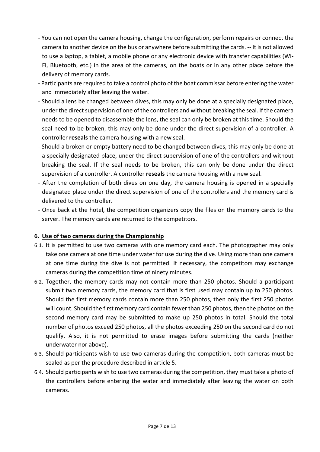- You can not open the camera housing, change the configuration, perform repairs or connect the camera to another device on the bus or anywhere before submitting the cards. -- It is not allowed to use a laptop, a tablet, a mobile phone or any electronic device with transfer capabilities (Wi-Fi, Bluetooth, etc.) in the area of the cameras, on the boats or in any other place before the delivery of memory cards.
- Participants are required to take a control photo of the boat commissar before entering the water and immediately after leaving the water.
- Should a lens be changed between dives, this may only be done at a specially designated place, under the direct supervision of one of the controllers and without breaking the seal. If the camera needs to be opened to disassemble the lens, the seal can only be broken at this time. Should the seal need to be broken, this may only be done under the direct supervision of a controller. A controller **reseals** the camera housing with a new seal.
- Should a broken or empty battery need to be changed between dives, this may only be done at a specially designated place, under the direct supervision of one of the controllers and without breaking the seal. If the seal needs to be broken, this can only be done under the direct supervision of a controller. A controller **reseals** the camera housing with a new seal.
- After the completion of both dives on one day, the camera housing is opened in a specially designated place under the direct supervision of one of the controllers and the memory card is delivered to the controller.
- Once back at the hotel, the competition organizers copy the files on the memory cards to the server. The memory cards are returned to the competitors.

# **6.** Use of two cameras during the Championship

- 6.1. It is permitted to use two cameras with one memory card each. The photographer may only take one camera at one time under water for use during the dive. Using more than one camera at one time during the dive is not permitted. If necessary, the competitors may exchange cameras during the competition time of ninety minutes.
- 6.2. Together, the memory cards may not contain more than 250 photos. Should a participant submit two memory cards, the memory card that is first used may contain up to 250 photos. Should the first memory cards contain more than 250 photos, then only the first 250 photos will count. Should the first memory card contain fewer than 250 photos, then the photos on the second memory card may be submitted to make up 250 photos in total. Should the total number of photos exceed 250 photos, all the photos exceeding 250 on the second card do not qualify. Also, it is not permitted to erase images before submitting the cards (neither underwater nor above).
- 6.3. Should participants wish to use two cameras during the competition, both cameras must be sealed as per the procedure described in article 5.
- 6.4. Should participants wish to use two cameras during the competition, they must take a photo of the controllers before entering the water and immediately after leaving the water on both cameras.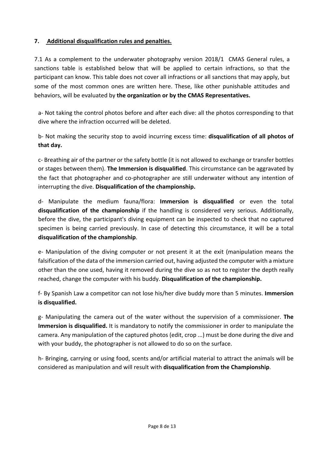# **7.** Additional disqualification rules and penalties.

7.1 As a complement to the underwater photography version 2018/1 CMAS General rules, a sanctions table is established below that will be applied to certain infractions, so that the participant can know. This table does not cover all infractions or all sanctions that may apply, but some of the most common ones are written here. These, like other punishable attitudes and behaviors, will be evaluated by the organization or by the CMAS Representatives.

a- Not taking the control photos before and after each dive: all the photos corresponding to that dive where the infraction occurred will be deleted.

b- Not making the security stop to avoid incurring excess time: **disqualification of all photos of that day.** The contract of the contract of the contract of the contract of the contract of the contract of the contract of the contract of the contract of the contract of the contract of the contract of the contract of th

c- Breathing air of the partner or the safety bottle (it is not allowed to exchange or transfer bottles or stages between them). The Immersion is disqualified. This circumstance can be aggravated by the fact that photographer and co-photographer are still underwater without any intention of interrupting the dive. Disqualification of the championship.

d- Manipulate the medium fauna/flora: **Immersion is disqualified** or even the total **disqualification of the championship** if the handling is considered very serious. Additionally, before the dive, the participant's diving equipment can be inspected to check that no captured specimen is being carried previously. In case of detecting this circumstance, it will be a total **disqualification of the championship**.

e- Manipulation of the diving computer or not present it at the exit (manipulation means the falsification of the data of the immersion carried out, having adjusted the computer with a mixture other than the one used, having it removed during the dive so as not to register the depth really reached, change the computer with his buddy. Disqualification of the championship.

f- By Spanish Law a competitor can not lose his/her dive buddy more than 5 minutes. **Immersion is disqualified.**

g- Manipulating the camera out of the water without the supervision of a commissioner. The **Immersion is disqualified.** It is mandatory to notify the commissioner in order to manipulate the camera. Any manipulation of the captured photos (edit, crop ...) must be done during the dive and with your buddy, the photographer is not allowed to do so on the surface.

h- Bringing, carrying or using food, scents and/or artificial material to attract the animals will be considered as manipulation and will result with **disqualification from the Championship**.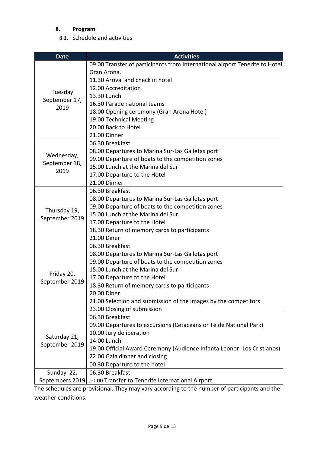# **8. Program**

8.1. Schedule and activities

| <b>Date</b>                                                         | <b>Activities</b>                                                           |  |  |
|---------------------------------------------------------------------|-----------------------------------------------------------------------------|--|--|
|                                                                     | 09.00 Transfer of participants from International airport Tenerife to Hotel |  |  |
|                                                                     | Gran Arona.                                                                 |  |  |
|                                                                     | 11.30 Arrival and check in hotel                                            |  |  |
|                                                                     | 12.00 Accreditation                                                         |  |  |
| Tuesday<br>September 17,<br>2019                                    | 13.30 Lunch                                                                 |  |  |
|                                                                     | 16.30 Parade national teams                                                 |  |  |
|                                                                     | 18.00 Opening ceremony (Gran Arona Hotel)                                   |  |  |
|                                                                     | 19.00 Technical Meeting                                                     |  |  |
|                                                                     | 20.00 Back to Hotel                                                         |  |  |
|                                                                     | 21.00 Dinner                                                                |  |  |
| Wednesday,<br>September 18,<br>2019                                 | 06.30 Breakfast                                                             |  |  |
|                                                                     | 08.00 Departures to Marina Sur-Las Galletas port                            |  |  |
|                                                                     | 09.00 Departure of boats to the competition zones                           |  |  |
|                                                                     | 15.00 Lunch at the Marina del Sur                                           |  |  |
|                                                                     | 17.00 Departure to the Hotel                                                |  |  |
|                                                                     | 21.00 Dinner                                                                |  |  |
|                                                                     | 06.30 Breakfast                                                             |  |  |
|                                                                     | 08.00 Departures to Marina Sur-Las Galletas port                            |  |  |
| Thursday 19,                                                        | 09.00 Departure of boats to the competition zones                           |  |  |
| September 2019                                                      | 15.00 Lunch at the Marina del Sur                                           |  |  |
|                                                                     | 17.00 Departure to the Hotel                                                |  |  |
|                                                                     | 18.30 Return of memory cards to participants                                |  |  |
|                                                                     | 21.00 Diner                                                                 |  |  |
|                                                                     | 06.30 Breakfast                                                             |  |  |
|                                                                     | 08.00 Departures to Marina Sur-Las Galletas port                            |  |  |
|                                                                     | 09.00 Departure of boats to the competition zones                           |  |  |
| Friday 20,                                                          | 15.00 Lunch at the Marina del Sur                                           |  |  |
| September 2019                                                      | 17.00 Departure to the Hotel                                                |  |  |
|                                                                     | 18.30 Return of memory cards to participants                                |  |  |
|                                                                     | <b>20.00 Diner</b>                                                          |  |  |
|                                                                     | 21.00 Selection and submission of the images by the competitors             |  |  |
|                                                                     | 23.00 Closing of submission                                                 |  |  |
|                                                                     | 06.30 Breakfast                                                             |  |  |
|                                                                     | 09.00 Departures to excursions (Cetaceans or Teide National Park)           |  |  |
| Saturday 21,<br>September 2019                                      | 10.00 Jury deliberation                                                     |  |  |
|                                                                     | 14:00 Lunch                                                                 |  |  |
|                                                                     | 19.00 Official Award Ceremony (Audience Infanta Leonor- Los Cristianos)     |  |  |
|                                                                     | 22:00 Gala dinner and closing                                               |  |  |
|                                                                     | 00.30 Departure to the hotel                                                |  |  |
| Sunday 22,                                                          | 06.30 Breakfast                                                             |  |  |
| Septembers 2019<br>10.00 Transfer to Tenerife International Airport |                                                                             |  |  |

The schedules are provisional. They may vary according to the number of participants and the weather conditions.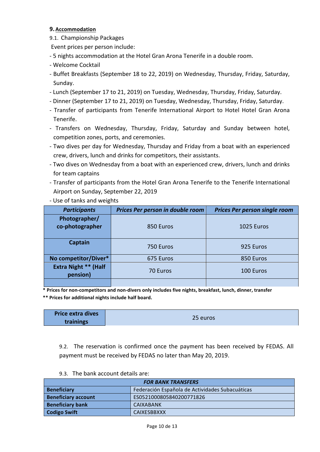## **9. Accommodation**

- 9.1. Championship Packages
- Event prices per person include:
- 5 nights accommodation at the Hotel Gran Arona Tenerife in a double room.
- Welcome Cocktail
- Buffet Breakfasts (September 18 to 22, 2019) on Wednesday, Thursday, Friday, Saturday, Sunday.
- Lunch (September 17 to 21, 2019) on Tuesday, Wednesday, Thursday, Friday, Saturday.
- Dinner (September 17 to 21, 2019) on Tuesday, Wednesday, Thursday, Friday, Saturday.
- Transfer of participants from Tenerife International Airport to Hotel Hotel Gran Arona Tenerife.
- Transfers on Wednesday, Thursday, Friday, Saturday and Sunday between hotel, competition zones, ports, and ceremonies.
- Two dives per day for Wednesday, Thursday and Friday from a boat with an experienced crew, drivers, lunch and drinks for competitors, their assistants.
- Two dives on Wednesday from a boat with an experienced crew, drivers, lunch and drinks for team captains
- Transfer of participants from the Hotel Gran Arona Tenerife to the Tenerife International Airport on Sunday, September 22, 2019
- Use of tanks and weights

| <b>Participants</b>                     | Prices Per person in double room | <b>Prices Per person single room</b> |
|-----------------------------------------|----------------------------------|--------------------------------------|
| Photographer/<br>co-photographer        | 850 Euros                        | 1025 Euros                           |
| <b>Captain</b>                          | 750 Euros                        | 925 Euros                            |
| No competitor/Diver*                    | 675 Euros                        | 850 Euros                            |
| <b>Extra Night ** (Half</b><br>pension) | 70 Euros                         | 100 Euros                            |
|                                         |                                  |                                      |

 **\* Prices for non-competitors and non-divers only includes five nights, breakfast, lunch, dinner, transfer**

\*\* Prices for additional nights include half board.

| <b>Price extra dives</b> |          |
|--------------------------|----------|
| trainings                | 25 euros |

9.2. The reservation is confirmed once the payment has been received by FEDAS. All payment must be received by FEDAS no later than May 20, 2019.

| <b>FOR BANK TRANSFERS</b>  |                                                 |  |
|----------------------------|-------------------------------------------------|--|
| <b>Beneficiary</b>         | Federación Española de Actividades Subacuáticas |  |
| <b>Beneficiary account</b> | ES0521000805840200771826                        |  |
| <b>Beneficiary bank</b>    | <b>CAIXABANK</b>                                |  |
| <b>Codigo Swift</b>        | CAIXESBBXXX                                     |  |

#### 9.3. The bank account details are: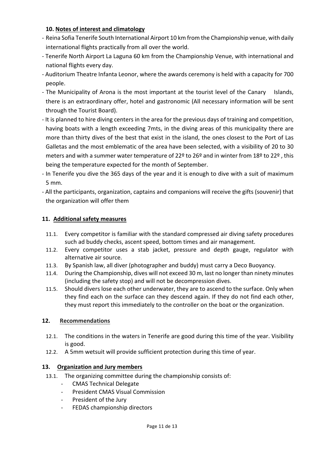# 10. Notes of interest and climatology

- Reina Sofia Tenerife South International Airport 10 km from the Championship venue, with daily international flights practically from all over the world.
- Tenerife North Airport La Laguna 60 km from the Championship Venue, with international and national flights every day.
- Auditorium Theatre Infanta Leonor, where the awards ceremony is held with a capacity for 700 people.
- The Municipality of Arona is the most important at the tourist level of the Canary Islands, there is an extraordinary offer, hotel and gastronomic (All necessary information will be sent through the Tourist Board).
- It is planned to hire diving centers in the area for the previous days of training and competition, having boats with a length exceeding 7mts, in the diving areas of this municipality there are more than thirty dives of the best that exist in the island, the ones closest to the Port of Las Galletas and the most emblematic of the area have been selected, with a visibility of 20 to 30 meters and with a summer water temperature of 22<sup>o</sup> to 26<sup>o</sup> and in winter from 18<sup>o</sup> to 22<sup>o</sup>, this being the temperature expected for the month of September.
- In Tenerife you dive the 365 days of the year and it is enough to dive with a suit of maximum 5 mm.
- All the participants, organization, captains and companions will receive the gifts (souvenir) that the organization will offer them

## **11. Additional safety measures**

- 11.1. Every competitor is familiar with the standard compressed air diving safety procedures such ad buddy checks, ascent speed, bottom times and air management.
- 11.2. Every competitor uses a stab jacket, pressure and depth gauge, regulator with alternative air source.
- 11.3. By Spanish law, all diver (photographer and buddy) must carry a Deco Buoyancy.
- 11.4. During the Championship, dives will not exceed 30 m, last no longer than ninety minutes (including the safety stop) and will not be decompression dives.
- 11.5. Should divers lose each other underwater, they are to ascend to the surface. Only when they find each on the surface can they descend again. If they do not find each other, they must report this immediately to the controller on the boat or the organization.

## **12.** Recommendations

- 12.1. The conditions in the waters in Tenerife are good during this time of the year. Visibility is good.
- 12.2. A 5mm wetsuit will provide sufficient protection during this time of year.

## 13. Organization and Jury members

- 13.1. The organizing committee during the championship consists of:
	- CMAS Technical Delegate
	- President CMAS Visual Commission
	- President of the Jury
	- FEDAS championship directors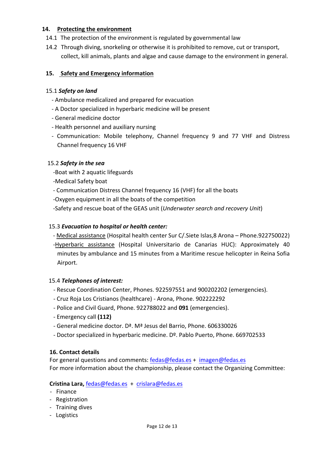## **14.** Protecting the environment

- 14.1 The protection of the environment is regulated by governmental law
- 14.2 Through diving, snorkeling or otherwise it is prohibited to remove, cut or transport, collect, kill animals, plants and algae and cause damage to the environment in general.

## **15. Safety and Emergency information**

#### 15.1 *Safety on land*

- Ambulance medicalized and prepared for evacuation
- A Doctor specialized in hyperbaric medicine will be present
- General medicine doctor
- Health personnel and auxiliary nursing
- Communication: Mobile telephony, Channel frequency 9 and 77 VHF and Distress Channel frequency 16 VHF

## 15.2 Safety in the sea

- -Boat with 2 aquatic lifeguards
- -Medical Safety boat
- Communication Distress Channel frequency 16 (VHF) for all the boats
- -Oxygen equipment in all the boats of the competition
- -Safety and rescue boat of the GEAS unit (*Underwater search and recovery Unit*)

#### 15.3 *Evacuation to hospital or health center:*

- Medical assistance (Hospital health center Sur C/. Siete Islas, 8 Arona Phone. 922750022)
- -Hyperbaric assistance (Hospital Universitario de Canarias HUC): Approximately 40 minutes by ambulance and 15 minutes from a Maritime rescue helicopter in Reina Sofia Airport.

#### 15.4 Telephones of interest:

- Rescue Coordination Center, Phones. 922597551 and 900202202 (emergencies).
- Cruz Roja Los Cristianos (healthcare) Arona, Phone. 902222292
- Police and Civil Guard, Phone. 922788022 and 091 (emergencies).
- Emergency call **(112)**
- General medicine doctor. D<sup>a</sup>. M<sup>a</sup> Jesus del Barrio, Phone. 606330026
- Doctor specialized in hyperbaric medicine. Dº. Pablo Puerto, Phone. 669702533

#### **16. Contact details**

For general questions and comments:  $fedas@fedas.es + imagen@fedas.es$ For more information about the championship, please contact the Organizing Committee:

#### **Cristina Lara,** fedas@fedas.es + crislara@fedas.es

- Finance
- Registration
- Training dives
- Logistics